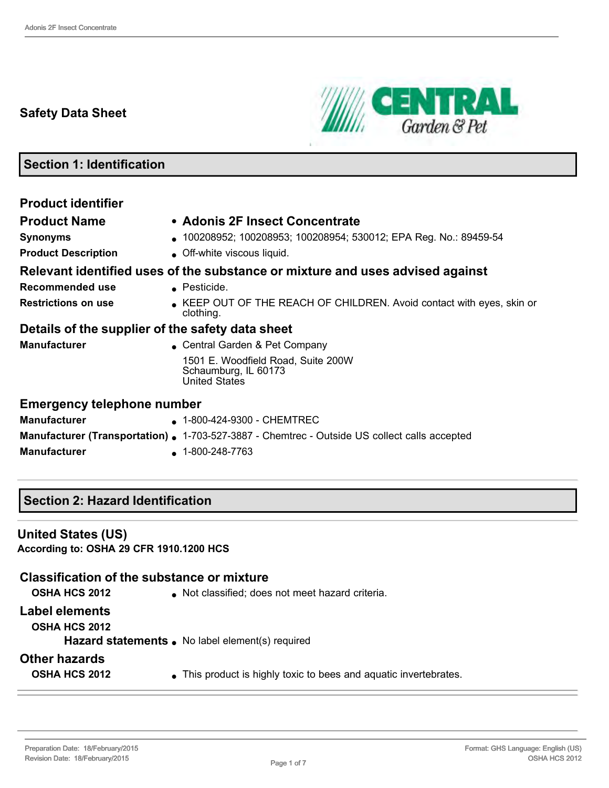# **Safety Data Sheet**



# **Section 1: Identification**

| <b>Product identifier</b>                        |                                                                                                     |
|--------------------------------------------------|-----------------------------------------------------------------------------------------------------|
| <b>Product Name</b>                              | • Adonis 2F Insect Concentrate                                                                      |
| <b>Synonyms</b>                                  | 100208952; 100208953; 100208954; 530012; EPA Reg. No.: 89459-54                                     |
| <b>Product Description</b>                       | • Off-white viscous liquid.                                                                         |
|                                                  | Relevant identified uses of the substance or mixture and uses advised against                       |
| Recommended use                                  | • Pesticide.                                                                                        |
| <b>Restrictions on use</b>                       | KEEP OUT OF THE REACH OF CHILDREN. Avoid contact with eyes, skin or<br>clothing.                    |
| Details of the supplier of the safety data sheet |                                                                                                     |
| <b>Manufacturer</b>                              | • Central Garden & Pet Company                                                                      |
|                                                  | 1501 E. Woodfield Road, Suite 200W<br>Schaumburg, IL 60173<br><b>United States</b>                  |
| <b>Emergency telephone number</b>                |                                                                                                     |
| <b>Manufacturer</b>                              | ▲ 1-800-424-9300 - CHEMTREC                                                                         |
|                                                  | <b>Manufacturer (Transportation).</b> 1-703-527-3887 - Chemtrec - Outside US collect calls accepted |
| <b>Manufacturer</b>                              | $\bullet$ 1-800-248-7763                                                                            |

## **Section 2: Hazard Identification**

#### **United States (US)**

**According to: OSHA 29 CFR 1910.1200 HCS**

### **Classification of the substance or mixture**

| <b>OSHA HCS 2012</b> |  |
|----------------------|--|
|----------------------|--|

 $\bullet$  Not classified; does not meet hazard criteria.

#### **Label elements**

**OSHA HCS 2012**

Hazard statements . No label element(s) required

### **Other hazards**

**OSHA HCS 2012** • This product is highly toxic to bees and aquatic invertebrates.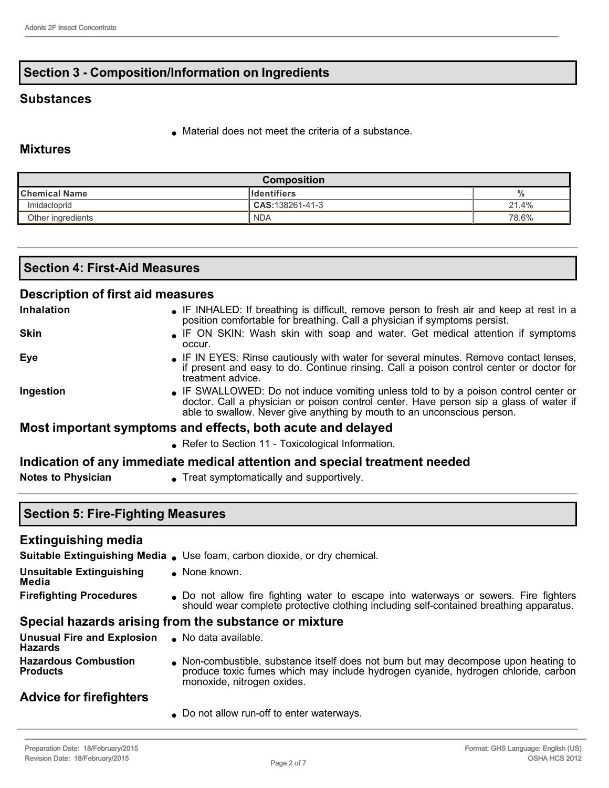## **Section 3 - Composition/Information on Ingredients**

### **Substances**

Material does not meet the criteria of a substance.

### **Mixtures**

| <b>Composition</b> |                     |       |
|--------------------|---------------------|-------|
| ∥Chemical Name     | <b>I</b> dentifiers | $\%$  |
| Imidacloprid       | CAS: 138261-41-3    | 21.4% |
| Other ingredients  | <b>NDA</b>          | 78.6% |

| <b>Section 4: First-Aid Measures</b> |                                                                                           |
|--------------------------------------|-------------------------------------------------------------------------------------------|
| Description of first aid measures    |                                                                                           |
| Inhalation                           | • IF INHALED: If breathing is difficult, remove person to fresh air and keep at rest in a |

- position comfortable for breathing. Call a physician if symptoms persist. **Skin IF ON SKIN:** Wash skin with soap and water. Get medical attention if symptoms occur. **Eye IF IN EYES: Rinse cautiously with water for several minutes. Remove contact lenses,** if present and easy to do. Continue rinsing. Call a poison control center or doctor for treatment advice. **Ingestion IF SWALLOWED:** Do not induce vomiting unless told to by a poison control center or doctor. Call a physician or poison control center. Have person sip a glass of water if able to swallow. Never give anything by mouth to an unconscious person. **Most important symptoms and effects, both acute and delayed**
	- Refer to Section 11 Toxicological Information.

#### **Indication of any immediate medical attention and special treatment needed**

- 
- **Notes to Physician** Treat symptomatically and supportively.

### **Section 5: Fire-Fighting Measures**

#### **Extinguishing media**

|                                                                   | Suitable Extinguishing Media . Use foam, carbon dioxide, or dry chemical.                                                                                                                            |
|-------------------------------------------------------------------|------------------------------------------------------------------------------------------------------------------------------------------------------------------------------------------------------|
| <b>Unsuitable Extinguishing</b><br>Media                          | $\bullet$ None known.                                                                                                                                                                                |
| <b>Firefighting Procedures</b>                                    | • Do not allow fire fighting water to escape into waterways or sewers. Fire fighters<br>should wear complete protective clothing including self-contained breathing apparatus.                       |
|                                                                   | Special hazards arising from the substance or mixture                                                                                                                                                |
| Unusual Fire and Explosion . No data available.<br><b>Hazards</b> |                                                                                                                                                                                                      |
| <b>Hazardous Combustion</b><br><b>Products</b>                    | Non-combustible, substance itself does not burn but may decompose upon heating to<br>produce toxic fumes which may include hydrogen cyanide, hydrogen chloride, carbon<br>monoxide, nitrogen oxides. |

### **Advice for firefighters**

Do not allow run-off to enter waterways.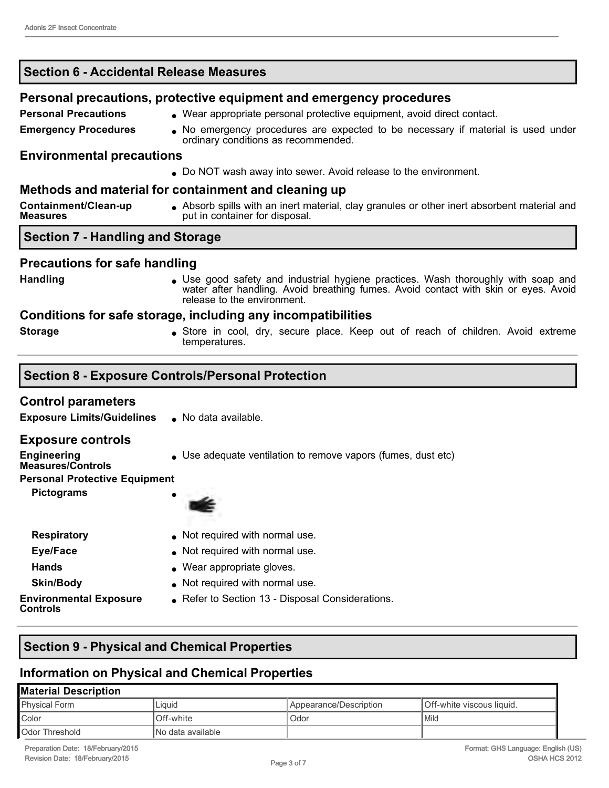| <b>Section 6 - Accidental Release Measures</b>   |                                                                                                                                                                                                         |
|--------------------------------------------------|---------------------------------------------------------------------------------------------------------------------------------------------------------------------------------------------------------|
|                                                  | Personal precautions, protective equipment and emergency procedures                                                                                                                                     |
| <b>Personal Precautions</b>                      | . Wear appropriate personal protective equipment, avoid direct contact.                                                                                                                                 |
| <b>Emergency Procedures</b>                      | • No emergency procedures are expected to be necessary if material is used under<br>ordinary conditions as recommended.                                                                                 |
| <b>Environmental precautions</b>                 |                                                                                                                                                                                                         |
|                                                  | • Do NOT wash away into sewer. Avoid release to the environment.                                                                                                                                        |
|                                                  | Methods and material for containment and cleaning up                                                                                                                                                    |
| Containment/Clean-up<br><b>Measures</b>          | • Absorb spills with an inert material, clay granules or other inert absorbent material and<br>put in container for disposal.                                                                           |
| <b>Section 7 - Handling and Storage</b>          |                                                                                                                                                                                                         |
| <b>Precautions for safe handling</b>             |                                                                                                                                                                                                         |
| <b>Handling</b>                                  | • Use good safety and industrial hygiene practices. Wash thoroughly with soap and<br>water after handling. Avoid breathing fumes. Avoid contact with skin or eyes. Avoid<br>release to the environment. |
|                                                  | Conditions for safe storage, including any incompatibilities                                                                                                                                            |
| <b>Storage</b>                                   | • Store in cool, dry, secure place. Keep out of reach of children. Avoid extreme<br>temperatures.                                                                                                       |
|                                                  | <b>Section 8 - Exposure Controls/Personal Protection</b>                                                                                                                                                |
|                                                  |                                                                                                                                                                                                         |
| <b>Control parameters</b>                        |                                                                                                                                                                                                         |
| <b>Exposure Limits/Guidelines</b>                | No data available.                                                                                                                                                                                      |
| <b>Exposure controls</b>                         |                                                                                                                                                                                                         |
| <b>Engineering</b><br><b>Measures/Controls</b>   | • Use adequate ventilation to remove vapors (fumes, dust etc)                                                                                                                                           |
| <b>Personal Protective Equipment</b>             |                                                                                                                                                                                                         |
| <b>Pictograms</b>                                | z.                                                                                                                                                                                                      |
| <b>Respiratory</b>                               | Not required with normal use.                                                                                                                                                                           |
| Eye/Face                                         | Not required with normal use.                                                                                                                                                                           |
| <b>Hands</b>                                     | Wear appropriate gloves.                                                                                                                                                                                |
| <b>Skin/Body</b>                                 | Not required with normal use.                                                                                                                                                                           |
| <b>Environmental Exposure</b><br><b>Controls</b> | Refer to Section 13 - Disposal Considerations.                                                                                                                                                          |
|                                                  |                                                                                                                                                                                                         |

# **Section 9 - Physical and Chemical Properties**

# **Information on Physical and Chemical Properties**

# **Material Description**

| .                     |                    |                               |                            |
|-----------------------|--------------------|-------------------------------|----------------------------|
| Physical Form         | Liauid             | <b>Appearance/Description</b> | IOff-white viscous liquid. |
| Color                 | Off-white          | Odor                          | l Mild                     |
| <b>Odor Threshold</b> | INo data available |                               |                            |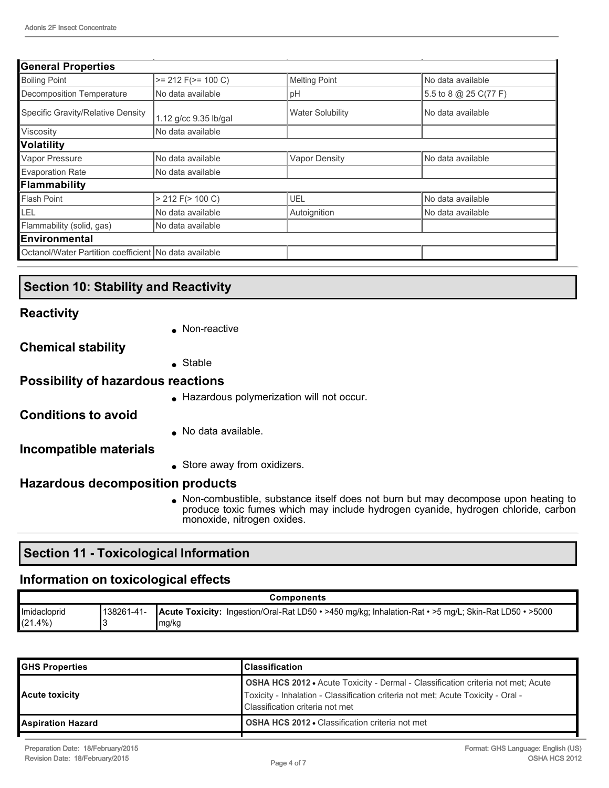| <b>General Properties</b>                             |                         |                         |                         |
|-------------------------------------------------------|-------------------------|-------------------------|-------------------------|
| <b>Boiling Point</b>                                  | $>= 212$ F( $>= 100$ C) | <b>Melting Point</b>    | No data available       |
| Decomposition Temperature                             | No data available       | pH                      | 5.5 to 8 $@$ 25 C(77 F) |
| Specific Gravity/Relative Density                     | 1.12 g/cc 9.35 lb/gal   | <b>Water Solubility</b> | No data available       |
| Viscosity                                             | No data available       |                         |                         |
| <b>Volatility</b>                                     |                         |                         |                         |
| Vapor Pressure                                        | No data available       | <b>Vapor Density</b>    | No data available       |
| <b>Evaporation Rate</b>                               | No data available       |                         |                         |
| Flammability                                          |                         |                         |                         |
| Flash Point                                           | $> 212$ F( $> 100$ C)   | UEL                     | No data available       |
| LEL                                                   | No data available       | Autoignition            | No data available       |
| Flammability (solid, gas)                             | No data available       |                         |                         |
| Environmental                                         |                         |                         |                         |
| Octanol/Water Partition coefficient No data available |                         |                         |                         |

### **Section 10: Stability and Reactivity**

#### **Reactivity**

• Non-reactive

#### **Chemical stability**

Stable

## **Possibility of hazardous reactions**

Hazardous polymerization will not occur.

**Conditions to avoid**

No data available.

### **Incompatible materials**

• Store away from oxidizers.

# **Hazardous decomposition products**

 Non-combustible, substance itself does not burn but may decompose upon heating to produce toxic fumes which may include hydrogen cyanide, hydrogen chloride, carbon monoxide, nitrogen oxides.

# **Section 11 - Toxicological Information**

# **Information on toxicological effects**

| <b>Components</b>          |                     |                                                                                                       |
|----------------------------|---------------------|-------------------------------------------------------------------------------------------------------|
| Imidacloprid<br>$(21.4\%)$ | 138261-41-<br>mg/kg | Acute Toxicity: Ingestion/Oral-Rat LD50 • >450 mg/kg; Inhalation-Rat • >5 mg/L; Skin-Rat LD50 • >5000 |

| <b>GHS Properties</b>    | lClassification                                                                                                                                                                                                |
|--------------------------|----------------------------------------------------------------------------------------------------------------------------------------------------------------------------------------------------------------|
| <b>Acute toxicity</b>    | <b>OSHA HCS 2012 •</b> Acute Toxicity - Dermal - Classification criteria not met; Acute<br>Toxicity - Inhalation - Classification criteria not met; Acute Toxicity - Oral -<br>Classification criteria not met |
| <b>Aspiration Hazard</b> | <b>OSHA HCS 2012 • Classification criteria not met</b>                                                                                                                                                         |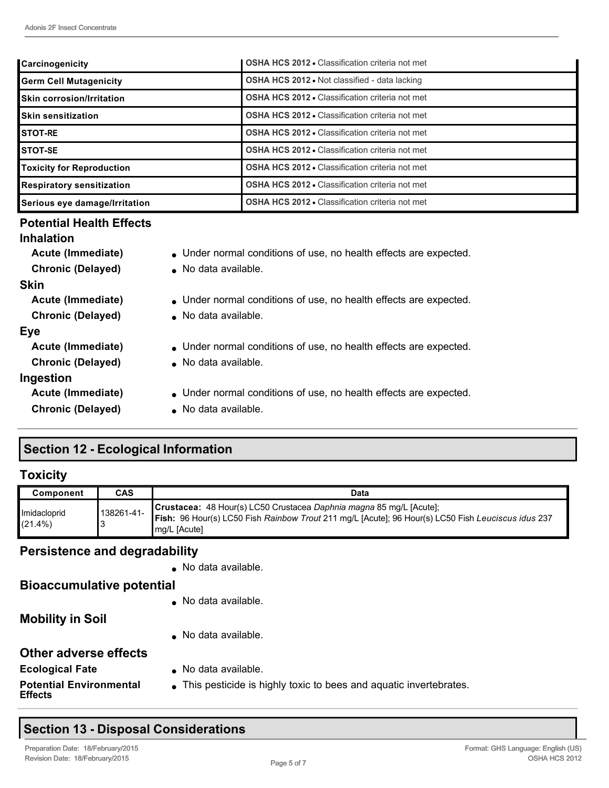| Carcinogenicity                  | <b>OSHA HCS 2012 • Classification criteria not met</b> |
|----------------------------------|--------------------------------------------------------|
| <b>Germ Cell Mutagenicity</b>    | <b>OSHA HCS 2012 • Not classified - data lacking</b>   |
| <b>Skin corrosion/Irritation</b> | <b>OSHA HCS 2012 • Classification criteria not met</b> |
| <b>Skin sensitization</b>        | <b>OSHA HCS 2012 • Classification criteria not met</b> |
| <b>STOT-RE</b>                   | <b>OSHA HCS 2012 • Classification criteria not met</b> |
| <b>STOT-SE</b>                   | <b>OSHA HCS 2012 • Classification criteria not met</b> |
| <b>Toxicity for Reproduction</b> | <b>OSHA HCS 2012 • Classification criteria not met</b> |
| <b>Respiratory sensitization</b> | <b>OSHA HCS 2012 • Classification criteria not met</b> |
| Serious eye damage/Irritation    | <b>OSHA HCS 2012 • Classification criteria not met</b> |

# **Potential Health Effects**

### **Inhalation**

**Chronic (Delayed)** . No data available.

### **Skin**

#### **Eye**

- **Chronic (Delayed)** . No data available. **Ingestion**
- **Acute (Immediate)** Under normal conditions of use, no health effects are expected.
	-
- **Acute (Immediate)** Under normal conditions of use, no health effects are expected.
- **Chronic (Delayed)** . No data available.
	- **Acute (Immediate)** Under normal conditions of use, no health effects are expected.
		-
	- **Acute (Immediate)** Under normal conditions of use, no health effects are expected.
	- **Chronic (Delayed)** . No data available.

# **Section 12 - Ecological Information**

### **Toxicity**

| Component                  | CAS                     | Data                                                                                                                                                                                             |
|----------------------------|-------------------------|--------------------------------------------------------------------------------------------------------------------------------------------------------------------------------------------------|
| Imidacloprid<br>$(21.4\%)$ | <sup>1</sup> 138261-41- | <b>Crustacea:</b> 48 Hour(s) LC50 Crustacea Daphnia magna 85 mg/L [Acute];<br>Fish: 96 Hour(s) LC50 Fish Rainbow Trout 211 mg/L [Acute]; 96 Hour(s) LC50 Fish Leuciscus idus 237<br>mq/L [Acute] |

### **Persistence and degradability**

• No data available.

### **Bioaccumulative potential**

No data available.

**Mobility in Soil**

No data available.

### **Other adverse effects**

- **Ecological Fate No data available.** 
	-
- **Potential Environmental**
- 
- **Fiftum** This pesticide is highly toxic to bees and aquatic invertebrates.

# **Section 13 - Disposal Considerations**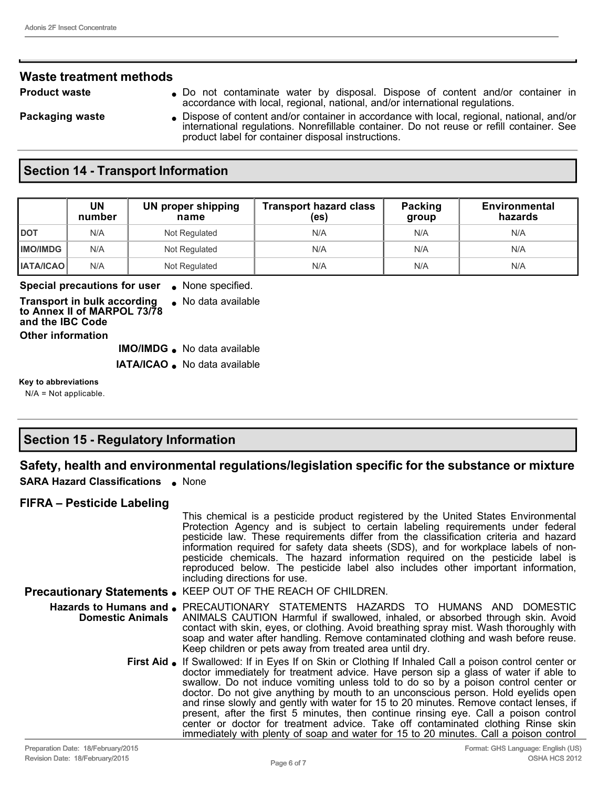### **Waste treatment methods**

- **Product waste 19 CO** not contaminate water by disposal. Dispose of content and/or container in accordance with local, regional, national, and/or international regulations.
- **Packaging waste ...** Dispose of content and/or container in accordance with local, regional, national, and/or international regulations. Nonrefillable container. Do not reuse or refill container. See product label for container disposal instructions.

### **Section 14 - Transport Information**

|                    | UN<br>number | UN proper shipping<br>name | <b>Transport hazard class</b><br>(es) | Packing<br>group | Environmental<br>hazards |
|--------------------|--------------|----------------------------|---------------------------------------|------------------|--------------------------|
| <b>DOT</b>         | N/A          | Not Regulated              | N/A                                   | N/A              | N/A                      |
| <b>IIMO/IMDG</b>   | N/A          | Not Regulated              | N/A                                   | N/A              | N/A                      |
| <b>I IATA/ICAO</b> | N/A          | Not Regulated              | N/A                                   | N/A              | N/A                      |

**Special precautions for user** None specified.

**Transport in bulk according to Annex II of MARPOL 73/78 and the IBC Code** • No data available **Other information**

**IMO/IMDG** . No data available

**IATA/ICAO** . No data available

**Key to abbreviations**

N/A = Not applicable.

# **Section 15 - Regulatory Information**

### **Safety, health and environmental regulations/legislation specific for the substance or mixture**

**SARA Hazard Classifications** . None

#### **FIFRA – Pesticide Labeling**

|                                          | This chemical is a pesticide product registered by the United States Environmental<br>Protection Agency and is subject to certain labeling requirements under federal<br>pesticide law. These requirements differ from the classification criteria and hazard<br>information required for safety data sheets (SDS), and for workplace labels of non-<br>pesticide chemicals. The hazard information required on the pesticide label is<br>reproduced below. The pesticide label also includes other important information,<br>including directions for use.                                                                                                                                                                              |
|------------------------------------------|------------------------------------------------------------------------------------------------------------------------------------------------------------------------------------------------------------------------------------------------------------------------------------------------------------------------------------------------------------------------------------------------------------------------------------------------------------------------------------------------------------------------------------------------------------------------------------------------------------------------------------------------------------------------------------------------------------------------------------------|
|                                          | Precautionary Statements . KEEP OUT OF THE REACH OF CHILDREN.                                                                                                                                                                                                                                                                                                                                                                                                                                                                                                                                                                                                                                                                            |
| <b>Domestic Animals</b>                  | Hazards to Humans and PRECAUTIONARY STATEMENTS HAZARDS TO HUMANS AND DOMESTIC<br>ANIMALS CAUTION Harmful if swallowed, inhaled, or absorbed through skin. Avoid<br>contact with skin, eyes, or clothing. Avoid breathing spray mist. Wash thoroughly with<br>soap and water after handling. Remove contaminated clothing and wash before reuse.<br>Keep children or pets away from treated area until dry.                                                                                                                                                                                                                                                                                                                               |
|                                          | First Aid • If Swallowed: If in Eyes If on Skin or Clothing If Inhaled Call a poison control center or<br>doctor immediately for treatment advice. Have person sip a glass of water if able to<br>swallow. Do not induce vomiting unless told to do so by a poison control center or<br>doctor. Do not give anything by mouth to an unconscious person. Hold eyelids open<br>and rinse slowly and gently with water for 15 to 20 minutes. Remove contact lenses, if<br>present, after the first 5 minutes, then continue rinsing eye. Call a poison control<br>center or doctor for treatment advice. Take off contaminated clothing Rinse skin<br>immediately with plenty of soap and water for 15 to 20 minutes. Call a poison control |
| <b>Droporation Dato: 18/Eobruan/2015</b> | Earmat: CHS Language: English /HS                                                                                                                                                                                                                                                                                                                                                                                                                                                                                                                                                                                                                                                                                                        |